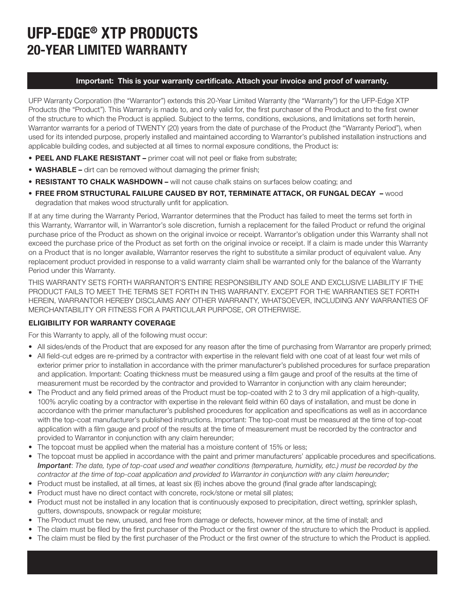# UFP-EDGE® XTP PRODUCTS 20-YEAR LIMITED WARRANTY

### Important: This is your warranty certificate. Attach your invoice and proof of warranty.

UFP Warranty Corporation (the "Warrantor") extends this 20-Year Limited Warranty (the "Warranty") for the UFP-Edge XTP Products (the "Product"). This Warranty is made to, and only valid for, the first purchaser of the Product and to the first owner of the structure to which the Product is applied. Subject to the terms, conditions, exclusions, and limitations set forth herein, Warrantor warrants for a period of TWENTY (20) years from the date of purchase of the Product (the "Warranty Period"), when used for its intended purpose, properly installed and maintained according to Warrantor's published installation instructions and applicable building codes, and subjected at all times to normal exposure conditions, the Product is:

- PEEL AND FLAKE RESISTANT primer coat will not peel or flake from substrate;
- WASHABLE dirt can be removed without damaging the primer finish;
- RESISTANT TO CHALK WASHDOWN will not cause chalk stains on surfaces below coating; and
- FREE FROM STRUCTURAL FAILURE CAUSED BY ROT, TERMINATE ATTACK, OR FUNGAL DECAY wood degradation that makes wood structurally unfit for application.

If at any time during the Warranty Period, Warrantor determines that the Product has failed to meet the terms set forth in this Warranty, Warrantor will, in Warrantor's sole discretion, furnish a replacement for the failed Product or refund the original purchase price of the Product as shown on the original invoice or receipt. Warrantor's obligation under this Warranty shall not exceed the purchase price of the Product as set forth on the original invoice or receipt. If a claim is made under this Warranty on a Product that is no longer available, Warrantor reserves the right to substitute a similar product of equivalent value. Any replacement product provided in response to a valid warranty claim shall be warranted only for the balance of the Warranty Period under this Warranty.

THIS WARRANTY SETS FORTH WARRANTOR'S ENTIRE RESPONSIBILITY AND SOLE AND EXCLUSIVE LIABILITY IF THE PRODUCT FAILS TO MEET THE TERMS SET FORTH IN THIS WARRANTY. EXCEPT FOR THE WARRANTIES SET FORTH HEREIN, WARRANTOR HEREBY DISCLAIMS ANY OTHER WARRANTY, WHATSOEVER, INCLUDING ANY WARRANTIES OF MERCHANTABILITY OR FITNESS FOR A PARTICULAR PURPOSE, OR OTHERWISE.

## ELIGIBILITY FOR WARRANTY COVERAGE

For this Warranty to apply, all of the following must occur:

- All sides/ends of the Product that are exposed for any reason after the time of purchasing from Warrantor are properly primed;
- All field-cut edges are re-primed by a contractor with expertise in the relevant field with one coat of at least four wet mils of exterior primer prior to installation in accordance with the primer manufacturer's published procedures for surface preparation and application. Important: Coating thickness must be measured using a film gauge and proof of the results at the time of measurement must be recorded by the contractor and provided to Warrantor in conjunction with any claim hereunder;
- The Product and any field primed areas of the Product must be top-coated with 2 to 3 dry mil application of a high-quality, 100% acrylic coating by a contractor with expertise in the relevant field within 60 days of installation, and must be done in accordance with the primer manufacturer's published procedures for application and specifications as well as in accordance with the top-coat manufacturer's published instructions. Important: The top-coat must be measured at the time of top-coat application with a film gauge and proof of the results at the time of measurement must be recorded by the contractor and provided to Warrantor in conjunction with any claim hereunder;
- The topcoat must be applied when the material has a moisture content of 15% or less;
- The topcoat must be applied in accordance with the paint and primer manufacturers' applicable procedures and specifications. *Important*: *The date, type of top-coat used and weather conditions (temperature, humidity, etc.) must be recorded by the contractor at the time of top-coat application and provided to Warrantor in conjunction with any claim hereunder;*
- Product must be installed, at all times, at least six (6) inches above the ground (final grade after landscaping);
- Product must have no direct contact with concrete, rock/stone or metal sill plates;
- Product must not be installed in any location that is continuously exposed to precipitation, direct wetting, sprinkler splash, gutters, downspouts, snowpack or regular moisture;
- The Product must be new, unused, and free from damage or defects, however minor, at the time of install; and
- The claim must be filed by the first purchaser of the Product or the first owner of the structure to which the Product is applied.
- The claim must be filed by the first purchaser of the Product or the first owner of the structure to which the Product is applied.